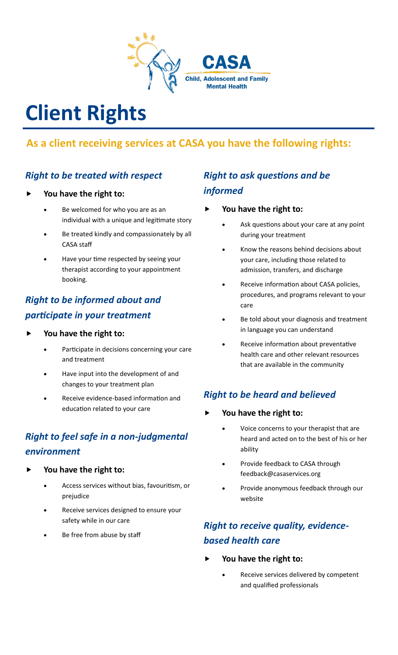

# **Client Rights**

## **As a client receiving services at CASA you have the following rights:**

### *Right to be treated with respect*

- **You have the right to:**
	- Be welcomed for who you are as an individual with a unique and legitimate story
	- Be treated kindly and compassionately by all CASA staff
	- Have your time respected by seeing your therapist according to your appointment booking.

## *Right to be informed about and participate in your treatment*

- **You have the right to:**
	- Participate in decisions concerning your care and treatment
	- Have input into the development of and changes to your treatment plan
	- Receive evidence-based information and education related to your care

## *Right to feel safe in a non-judgmental environment*

- **You have the right to:**
	- Access services without bias, favouritism, or prejudice
	- Receive services designed to ensure your safety while in our care
	- Be free from abuse by staff

### *Right to ask questions and be informed*

- **You have the right to:**
	- Ask questions about your care at any point during your treatment
	- Know the reasons behind decisions about your care, including those related to admission, transfers, and discharge
	- Receive information about CASA policies, procedures, and programs relevant to your care
	- Be told about your diagnosis and treatment in language you can understand
	- Receive information about preventative health care and other relevant resources that are available in the community

### *Right to be heard and believed*

#### **You have the right to:**

- Voice concerns to your therapist that are heard and acted on to the best of his or her ability
- Provide feedback to CASA through feedback@casaservices.org
- Provide anonymous feedback through our website

## *Right to receive quality, evidencebased health care*

- **You have the right to:**
	- Receive services delivered by competent and qualified professionals